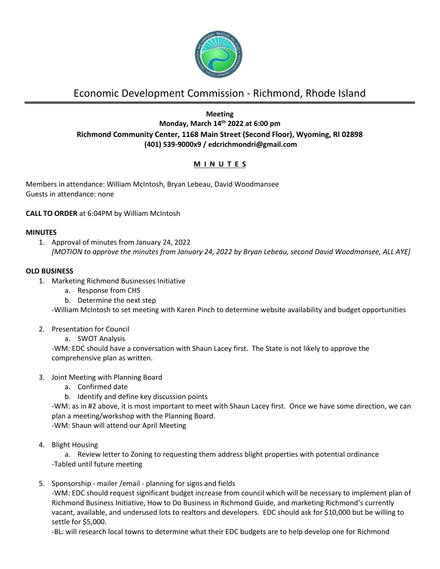

# Economic Development Commission - Richmond, Rhode Island

# **Meeting Monday, March 14 th 2022 at 6:00 pm Richmond Community Center, 1168 Main Street (Second Floor), Wyoming, RI 02898 (401) 539-9000x9 / edcrichmondri@gmail.com**

# **M I N U T E S**

Members in attendance: William McIntosh, Bryan Lebeau, David Woodmansee Guests in attendance: none

# **CALL TO ORDER** at 6:04PM by William McIntosh

## **MINUTES**

1. Approval of minutes from January 24, 2022 *[MOTION to approve the minutes from January 24, 2022 by Bryan Lebeau, second David Woodmansee, ALL AYE]*

## **OLD BUSINESS**

- 1. Marketing Richmond Businesses Initiative
	- a. Response from CHS
	- b. Determine the next step

-William McIntosh to set meeting with Karen Pinch to determine website availability and budget opportunities

- 2. Presentation for Council
	- a. SWOT Analysis

-WM: EDC should have a conversation with Shaun Lacey first. The State is not likely to approve the comprehensive plan as written.

- 3. Joint Meeting with Planning Board
	- a. Confirmed date
	- b. Identify and define key discussion points

-WM: as in #2 above, it is most important to meet with Shaun Lacey first. Once we have some direction, we can plan a meeting/workshop with the Planning Board.

-WM: Shaun will attend our April Meeting

4. Blight Housing

a. Review letter to Zoning to requesting them address blight properties with potential ordinance -Tabled until future meeting

5. Sponsorship - mailer /email - planning for signs and fields

-WM: EDC should request significant budget increase from council which will be necessary to implement plan of Richmond Business Initiative, How to Do Business in Richmond Guide, and marketing Richmond's currently vacant, available, and underused lots to realtors and developers. EDC should ask for \$10,000 but be willing to settle for \$5,000.

-BL: will research local towns to determine what their EDC budgets are to help develop one for Richmond